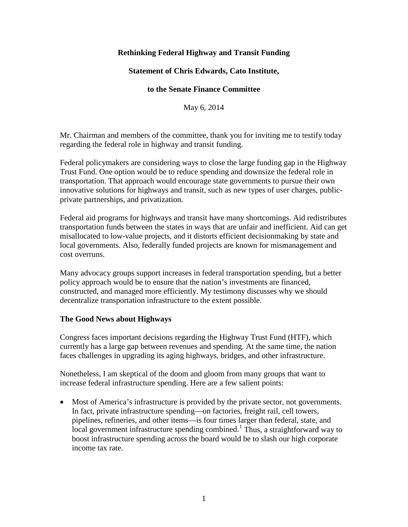# **Rethinking Federal Highway and Transit Funding**

# **Statement of Chris Edwards, Cato Institute,**

## **to the Senate Finance Committee**

May 6, 2014

Mr. Chairman and members of the committee, thank you for inviting me to testify today regarding the federal role in highway and transit funding.

Federal policymakers are considering ways to close the large funding gap in the Highway Trust Fund. One option would be to reduce spending and downsize the federal role in transportation. That approach would encourage state governments to pursue their own innovative solutions for highways and transit, such as new types of user charges, publicprivate partnerships, and privatization.

Federal aid programs for highways and transit have many shortcomings. Aid redistributes transportation funds between the states in ways that are unfair and inefficient. Aid can get misallocated to low-value projects, and it distorts efficient decisionmaking by state and local governments. Also, federally funded projects are known for mismanagement and cost overruns.

Many advocacy groups support increases in federal transportation spending, but a better policy approach would be to ensure that the nation's investments are financed, constructed, and managed more efficiently. My testimony discusses why we should decentralize transportation infrastructure to the extent possible.

## **The Good News about Highways**

Congress faces important decisions regarding the Highway Trust Fund (HTF), which currently has a large gap between revenues and spending. At the same time, the nation faces challenges in upgrading its aging highways, bridges, and other infrastructure.

Nonetheless, I am skeptical of the doom and gloom from many groups that want to increase federal infrastructure spending. Here are a few salient points:

• Most of America's infrastructure is provided by the private sector, not governments. In fact, private infrastructure spending—on factories, freight rail, cell towers, pipelines, refineries, and other items—is four times larger than federal, state, and local government infrastructure spending combined.<sup>[1](#page-8-0)</sup> Thus, a straightforward way to boost infrastructure spending across the board would be to slash our high corporate income tax rate.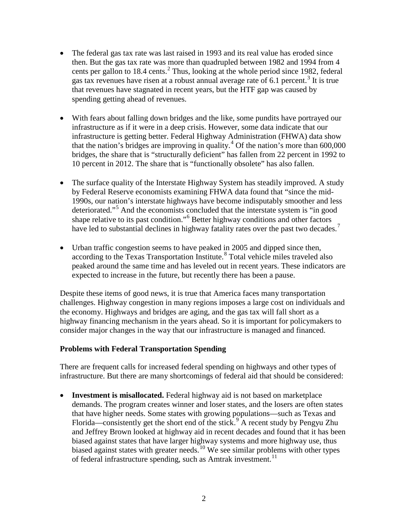- The federal gas tax rate was last raised in 1993 and its real value has eroded since then. But the gas tax rate was more than quadrupled between 1982 and 1994 from 4 cents per gallon to 18.4 cents. $^{2}$  $^{2}$  $^{2}$  Thus, looking at the whole period since 1982, federal gas tax revenues have risen at a robust annual average rate of 6.1 percent.<sup>[3](#page-9-1)</sup> It is true that revenues have stagnated in recent years, but the HTF gap was caused by spending getting ahead of revenues.
- With fears about falling down bridges and the like, some pundits have portrayed our infrastructure as if it were in a deep crisis. However, some data indicate that our infrastructure is getting better. Federal Highway Administration (FHWA) data show that the nation's bridges are improving in quality. [4](#page-9-2) Of the nation's more than 600,000 bridges, the share that is "structurally deficient" has fallen from 22 percent in 1992 to 10 percent in 2012. The share that is "functionally obsolete" has also fallen.
- The surface quality of the Interstate Highway System has steadily improved. A study by Federal Reserve economists examining FHWA data found that "since the mid-1990s, our nation's interstate highways have become indisputably smoother and less deteriorated."<sup>[5](#page-9-3)</sup> And the economists concluded that the interstate system is "in good shape relative to its past condition."[6](#page-9-4) Better highway conditions and other factors have led to substantial declines in highway fatality rates over the past two decades.<sup>[7](#page-9-5)</sup>
- Urban traffic congestion seems to have peaked in 2005 and dipped since then, according to the Texas Transportation Institute. [8](#page-9-6) Total vehicle miles traveled also peaked around the same time and has leveled out in recent years. These indicators are expected to increase in the future, but recently there has been a pause.

Despite these items of good news, it is true that America faces many transportation challenges. Highway congestion in many regions imposes a large cost on individuals and the economy. Highways and bridges are aging, and the gas tax will fall short as a highway financing mechanism in the years ahead. So it is important for policymakers to consider major changes in the way that our infrastructure is managed and financed.

## **Problems with Federal Transportation Spending**

There are frequent calls for increased federal spending on highways and other types of infrastructure. But there are many shortcomings of federal aid that should be considered:

• **Investment is misallocated.** Federal highway aid is not based on marketplace demands. The program creates winner and loser states, and the losers are often states that have higher needs. Some states with growing populations—such as Texas and Florida—consistently get the short end of the stick.<sup>[9](#page-9-7)</sup> A recent study by Pengyu Zhu and Jeffrey Brown looked at highway aid in recent decades and found that it has been biased against states that have larger highway systems and more highway use, thus biased against states with greater needs.<sup>[10](#page-9-8)</sup> We see similar problems with other types of federal infrastructure spending, such as Amtrak investment.<sup>[11](#page-9-9)</sup>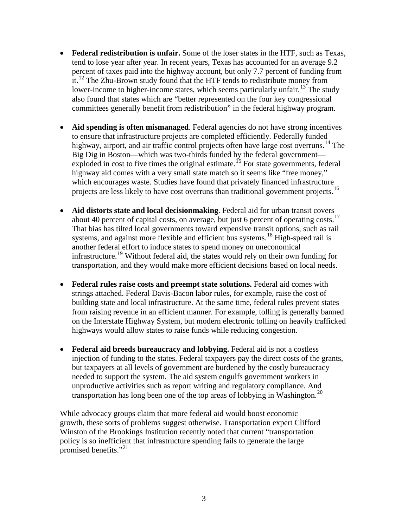- **Federal redistribution is unfair.** Some of the loser states in the HTF, such as Texas, tend to lose year after year. In recent years, Texas has accounted for an average 9.2 percent of taxes paid into the highway account, but only 7.7 percent of funding from it.[12](#page-10-0) The Zhu-Brown study found that the HTF tends to redistribute money from lower-income to higher-income states, which seems particularly unfair.<sup>[13](#page-10-1)</sup> The study also found that states which are "better represented on the four key congressional committees generally benefit from redistribution" in the federal highway program.
- **Aid spending is often mismanaged**. Federal agencies do not have strong incentives to ensure that infrastructure projects are completed efficiently. Federally funded highway, airport, and air traffic control projects often have large cost overruns.<sup>[14](#page-10-2)</sup> The Big Dig in Boston—which was two-thirds funded by the federal government— exploded in cost to five times the original estimate.<sup>[15](#page-10-3)</sup> For state governments, federal highway aid comes with a very small state match so it seems like "free money," which encourages waste. Studies have found that privately financed infrastructure projects are less likely to have cost overruns than traditional government projects.<sup>[16](#page-10-4)</sup>
- **Aid distorts state and local decisionmaking**. Federal aid for urban transit covers about 40 percent of capital costs, on average, but just 6 percent of operating costs.<sup>[17](#page-10-5)</sup> That bias has tilted local governments toward expensive transit options, such as rail systems, and against more flexible and efficient bus systems.<sup>[18](#page-10-6)</sup> High-speed rail is another federal effort to induce states to spend money on uneconomical infrastructure.[19](#page-10-7) Without federal aid, the states would rely on their own funding for transportation, and they would make more efficient decisions based on local needs.
- **Federal rules raise costs and preempt state solutions.** Federal aid comes with strings attached. Federal Davis-Bacon labor rules, for example, raise the cost of building state and local infrastructure. At the same time, federal rules prevent states from raising revenue in an efficient manner. For example, tolling is generally banned on the Interstate Highway System, but modern electronic tolling on heavily trafficked highways would allow states to raise funds while reducing congestion.
- **Federal aid breeds bureaucracy and lobbying.** Federal aid is not a costless injection of funding to the states. Federal taxpayers pay the direct costs of the grants, but taxpayers at all levels of government are burdened by the costly bureaucracy needed to support the system. The aid system engulfs government workers in unproductive activities such as report writing and regulatory compliance. And transportation has long been one of the top areas of lobbying in Washington.<sup>[20](#page-10-8)</sup>

While advocacy groups claim that more federal aid would boost economic growth, these sorts of problems suggest otherwise. Transportation expert Clifford Winston of the Brookings Institution recently noted that current "transportation policy is so inefficient that infrastructure spending fails to generate the large promised benefits."<sup>[21](#page-10-9)</sup>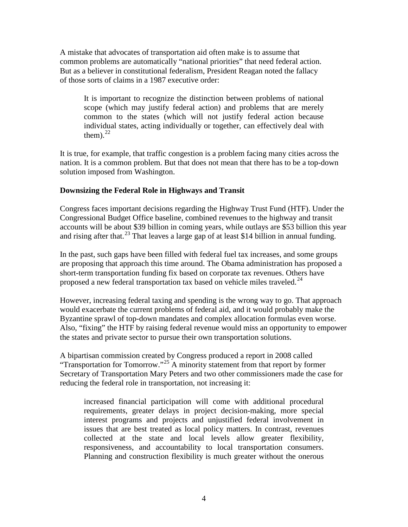A mistake that advocates of transportation aid often make is to assume that common problems are automatically "national priorities" that need federal action. But as a believer in constitutional federalism, President Reagan noted the fallacy of those sorts of claims in a 1987 executive order:

It is important to recognize the distinction between problems of national scope (which may justify federal action) and problems that are merely common to the states (which will not justify federal action because individual states, acting individually or together, can effectively deal with them). $^{22}$  $^{22}$  $^{22}$ 

It is true, for example, that traffic congestion is a problem facing many cities across the nation. It is a common problem. But that does not mean that there has to be a top-down solution imposed from Washington.

### **Downsizing the Federal Role in Highways and Transit**

Congress faces important decisions regarding the Highway Trust Fund (HTF). Under the Congressional Budget Office baseline, combined revenues to the highway and transit accounts will be about \$39 billion in coming years, while outlays are \$53 billion this year and rising after that.<sup>[23](#page-11-1)</sup> That leaves a large gap of at least \$14 billion in annual funding.

In the past, such gaps have been filled with federal fuel tax increases, and some groups are proposing that approach this time around. The Obama administration has proposed a short-term transportation funding fix based on corporate tax revenues. Others have proposed a new federal transportation tax based on vehicle miles traveled.<sup>[24](#page-11-2)</sup>

However, increasing federal taxing and spending is the wrong way to go. That approach would exacerbate the current problems of federal aid, and it would probably make the Byzantine sprawl of top-down mandates and complex allocation formulas even worse. Also, "fixing" the HTF by raising federal revenue would miss an opportunity to empower the states and private sector to pursue their own transportation solutions.

A bipartisan commission created by Congress produced a report in 2008 called "Transportation for Tomorrow."[25](#page-11-3) A minority statement from that report by former Secretary of Transportation Mary Peters and two other commissioners made the case for reducing the federal role in transportation, not increasing it:

increased financial participation will come with additional procedural requirements, greater delays in project decision-making, more special interest programs and projects and unjustified federal involvement in issues that are best treated as local policy matters. In contrast, revenues collected at the state and local levels allow greater flexibility, responsiveness, and accountability to local transportation consumers. Planning and construction flexibility is much greater without the onerous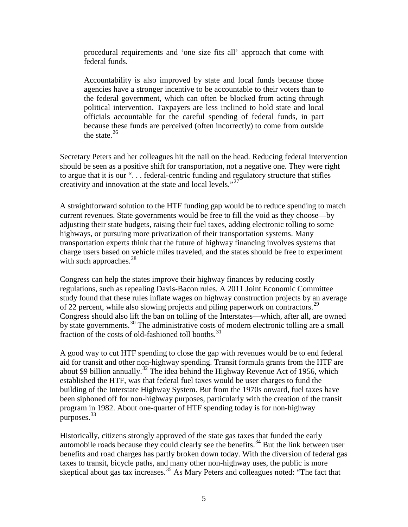procedural requirements and 'one size fits all' approach that come with federal funds.

Accountability is also improved by state and local funds because those agencies have a stronger incentive to be accountable to their voters than to the federal government, which can often be blocked from acting through political intervention. Taxpayers are less inclined to hold state and local officials accountable for the careful spending of federal funds, in part because these funds are perceived (often incorrectly) to come from outside the state. $26$ 

Secretary Peters and her colleagues hit the nail on the head. Reducing federal intervention should be seen as a positive shift for transportation, not a negative one. They were right to argue that it is our ". . . federal-centric funding and regulatory structure that stifles creativity and innovation at the state and local levels."<sup>[27](#page-11-5)</sup>

A straightforward solution to the HTF funding gap would be to reduce spending to match current revenues. State governments would be free to fill the void as they choose—by adjusting their state budgets, raising their fuel taxes, adding electronic tolling to some highways, or pursuing more privatization of their transportation systems. Many transportation experts think that the future of highway financing involves systems that charge users based on vehicle miles traveled, and the states should be free to experiment with such approaches.<sup>[28](#page-11-6)</sup>

Congress can help the states improve their highway finances by reducing costly regulations, such as repealing Davis-Bacon rules. A 2011 Joint Economic Committee study found that these rules inflate wages on highway construction projects by an average of 22 percent, while also slowing projects and piling paperwork on contractors.<sup>[29](#page-11-7)</sup> Congress should also lift the ban on tolling of the Interstates—which, after all, are owned by state governments.<sup>[30](#page-11-8)</sup> The administrative costs of modern electronic tolling are a small fraction of the costs of old-fashioned toll booths.<sup>[31](#page-11-9)</sup>

A good way to cut HTF spending to close the gap with revenues would be to end federal aid for transit and other non-highway spending. Transit formula grants from the HTF are about \$9 billion annually.<sup>[32](#page-11-10)</sup> The idea behind the Highway Revenue Act of 1956, which established the HTF, was that federal fuel taxes would be user charges to fund the building of the Interstate Highway System. But from the 1970s onward, fuel taxes have been siphoned off for non-highway purposes, particularly with the creation of the transit program in 1982. About one-quarter of HTF spending today is for non-highway purposes. $33$ 

Historically, citizens strongly approved of the state gas taxes that funded the early automobile roads because they could clearly see the benefits.<sup>[34](#page-11-12)</sup> But the link between user benefits and road charges has partly broken down today. With the diversion of federal gas taxes to transit, bicycle paths, and many other non-highway uses, the public is more skeptical about gas tax increases.<sup>[35](#page-11-13)</sup> As Mary Peters and colleagues noted: "The fact that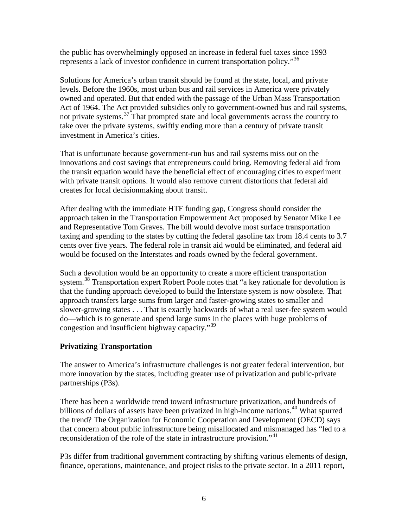the public has overwhelmingly opposed an increase in federal fuel taxes since 1993 represents a lack of investor confidence in current transportation policy.<sup>356</sup>

Solutions for America's urban transit should be found at the state, local, and private levels. Before the 1960s, most urban bus and rail services in America were privately owned and operated. But that ended with the passage of the Urban Mass Transportation Act of 1964. The Act provided subsidies only to government-owned bus and rail systems, not private systems.<sup>[37](#page-11-15)</sup> That prompted state and local governments across the country to take over the private systems, swiftly ending more than a century of private transit investment in America's cities.

That is unfortunate because government-run bus and rail systems miss out on the innovations and cost savings that entrepreneurs could bring. Removing federal aid from the transit equation would have the beneficial effect of encouraging cities to experiment with private transit options. It would also remove current distortions that federal aid creates for local decisionmaking about transit.

After dealing with the immediate HTF funding gap, Congress should consider the approach taken in the Transportation Empowerment Act proposed by Senator Mike Lee and Representative Tom Graves. The bill would devolve most surface transportation taxing and spending to the states by cutting the federal gasoline tax from 18.4 cents to 3.7 cents over five years. The federal role in transit aid would be eliminated, and federal aid would be focused on the Interstates and roads owned by the federal government.

Such a devolution would be an opportunity to create a more efficient transportation system.<sup>[38](#page-11-16)</sup> Transportation expert Robert Poole notes that "a key rationale for devolution is that the funding approach developed to build the Interstate system is now obsolete. That approach transfers large sums from larger and faster-growing states to smaller and slower-growing states . . . That is exactly backwards of what a real user-fee system would do—which is to generate and spend large sums in the places with huge problems of congestion and insufficient highway capacity."<sup>[39](#page-11-0)</sup>

## **Privatizing Transportation**

The answer to America's infrastructure challenges is not greater federal intervention, but more innovation by the states, including greater use of privatization and public-private partnerships (P3s).

There has been a worldwide trend toward infrastructure privatization, and hundreds of billions of dollars of assets have been privatized in high-income nations.<sup>[40](#page-11-1)</sup> What spurred the trend? The Organization for Economic Cooperation and Development (OECD) says that concern about public infrastructure being misallocated and mismanaged has "led to a reconsideration of the role of the state in infrastructure provision."<sup>[41](#page-11-17)</sup>

P3s differ from traditional government contracting by shifting various elements of design, finance, operations, maintenance, and project risks to the private sector. In a 2011 report,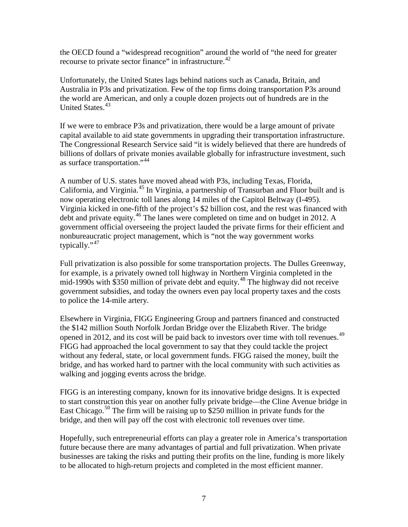the OECD found a "widespread recognition" around the world of "the need for greater recourse to private sector finance" in infrastructure.<sup>[42](#page-11-18)</sup>

Unfortunately, the United States lags behind nations such as Canada, Britain, and Australia in P3s and privatization. Few of the top firms doing transportation P3s around the world are American, and only a couple dozen projects out of hundreds are in the United States.<sup>[43](#page-11-19)</sup>

If we were to embrace P3s and privatization, there would be a large amount of private capital available to aid state governments in upgrading their transportation infrastructure. The Congressional Research Service said "it is widely believed that there are hundreds of billions of dollars of private monies available globally for infrastructure investment, such as surface transportation."[44](#page-11-20)

A number of U.S. states have moved ahead with P3s, including Texas, Florida, California, and Virginia.[45](#page-11-21) In Virginia, a partnership of Transurban and Fluor built and is now operating electronic toll lanes along 14 miles of the Capitol Beltway (I-495). Virginia kicked in one-fifth of the project's \$2 billion cost, and the rest was financed with debt and private equity.<sup>[46](#page-11-6)</sup> The lanes were completed on time and on budget in 2012. A government official overseeing the project lauded the private firms for their efficient and nonbureaucratic project management, which is "not the way government works typically."<sup>[47](#page-11-22)</sup>

Full privatization is also possible for some transportation projects. The Dulles Greenway, for example, is a privately owned toll highway in Northern Virginia completed in the mid-1990s with \$350 million of private debt and equity. [48](#page-11-23) The highway did not receive government subsidies, and today the owners even pay local property taxes and the costs to police the 14-mile artery.

Elsewhere in Virginia, FIGG Engineering Group and partners financed and constructed the \$142 million South Norfolk Jordan Bridge over the Elizabeth River. The bridge opened in 2012, and its cost will be paid back to investors over time with toll revenues.<sup>[49](#page-11-7)</sup> FIGG had approached the local government to say that they could tackle the project without any federal, state, or local government funds. FIGG raised the money, built the bridge, and has worked hard to partner with the local community with such activities as walking and jogging events across the bridge.

FIGG is an interesting company, known for its innovative bridge designs. It is expected to start construction this year on another fully private bridge—the Cline Avenue bridge in East Chicago.<sup>[50](#page-11-24)</sup> The firm will be raising up to \$250 million in private funds for the bridge, and then will pay off the cost with electronic toll revenues over time.

Hopefully, such entrepreneurial efforts can play a greater role in America's transportation future because there are many advantages of partial and full privatization. When private businesses are taking the risks and putting their profits on the line, funding is more likely to be allocated to high-return projects and completed in the most efficient manner.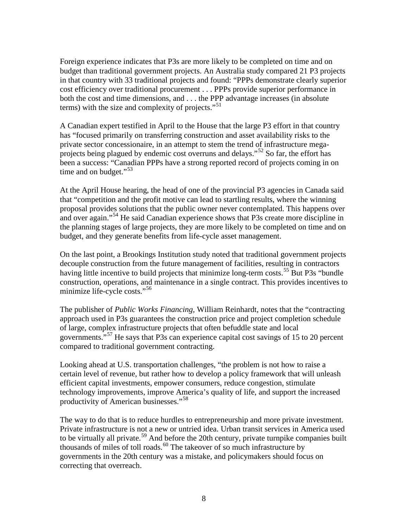Foreign experience indicates that P3s are more likely to be completed on time and on budget than traditional government projects. An Australia study compared 21 P3 projects in that country with 33 traditional projects and found: "PPPs demonstrate clearly superior cost efficiency over traditional procurement . . . PPPs provide superior performance in both the cost and time dimensions, and . . . the PPP advantage increases (in absolute terms) with the size and complexity of projects."<sup>[51](#page-11-25)</sup>

A Canadian expert testified in April to the House that the large P3 effort in that country has "focused primarily on transferring construction and asset availability risks to the private sector concessionaire, in an attempt to stem the trend of infrastructure mega-projects being plagued by endemic cost overruns and delays."<sup>[52](#page-11-26)</sup> So far, the effort has been a success: "Canadian PPPs have a strong reported record of projects coming in on time and on budget."<sup>[53](#page-11-9)</sup>

At the April House hearing, the head of one of the provincial P3 agencies in Canada said that "competition and the profit motive can lead to startling results, where the winning proposal provides solutions that the public owner never contemplated. This happens over and over again."<sup>[54](#page-11-10)</sup> He said Canadian experience shows that P3s create more discipline in the planning stages of large projects, they are more likely to be completed on time and on budget, and they generate benefits from life-cycle asset management.

On the last point, a Brookings Institution study noted that traditional government projects decouple construction from the future management of facilities, resulting in contractors having little incentive to build projects that minimize long-term costs.<sup>[55](#page-11-27)</sup> But P3s "bundle" construction, operations, and maintenance in a single contract. This provides incentives to minimize life-cycle costs."[56](#page-11-28)

The publisher of *Public Works Financing,* William Reinhardt, notes that the "contracting approach used in P3s guarantees the construction price and project completion schedule of large, complex infrastructure projects that often befuddle state and local governments.<sup>[57](#page-11-13)</sup> He says that P3s can experience capital cost savings of 15 to 20 percent compared to traditional government contracting.

Looking ahead at U.S. transportation challenges, "the problem is not how to raise a certain level of revenue, but rather how to develop a policy framework that will unleash efficient capital investments, empower consumers, reduce congestion, stimulate technology improvements, improve America's quality of life, and support the increased productivity of American businesses."[58](#page-11-29)

The way to do that is to reduce hurdles to entrepreneurship and more private investment. Private infrastructure is not a new or untried idea. Urban transit services in America used to be virtually all private.<sup>[59](#page-11-30)</sup> And before the 20th century, private turnpike companies built thousands of miles of toll roads.<sup>[60](#page-11-15)</sup> The takeover of so much infrastructure by governments in the 20th century was a mistake, and policymakers should focus on correcting that overreach.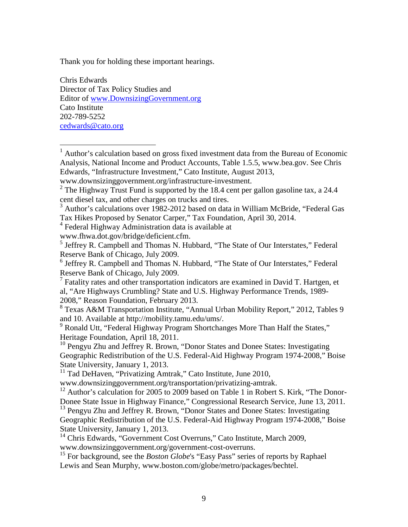Thank you for holding these important hearings.

Chris Edwards Director of Tax Policy Studies and Editor of [www.DownsizingGovernment.org](http://www.downsizinggovernment.org/) Cato Institute 202-789-5252 [cedwards@cato.org](mailto:cedwards@cato.org)

 $\overline{a}$ 

<span id="page-8-0"></span> $<sup>1</sup>$  Author's calculation based on gross fixed investment data from the Bureau of Economic</sup> Analysis, National Income and Product Accounts, Table 1.5.5, [www.bea.gov.](http://www.bea.gov/) See Chris Edwards, "Infrastructure Investment," Cato Institute, August 2013,

<sup>3</sup> Author's calculations over 1982-2012 based on data in William McBride, "Federal Gas Tax Hikes Proposed by Senator Carper," Tax Foundation, April 30, 2014.

<sup>4</sup> Federal Highway Administration data is available at

www.fhwa.dot.gov/bridge/deficient.cfm.

Reserve Bank of Chicago, July 2009.

 $<sup>7</sup>$  Fatality rates and other transportation indicators are examined in David T. Hartgen, et</sup> al, "Are Highways Crumbling? State and U.S. Highway Performance Trends, 1989- 2008," Reason Foundation, February 2013.

 $8$  Texas A&M Transportation Institute, "Annual Urban Mobility Report," 2012, Tables 9 and 10. Available at http://mobility.tamu.edu/ums/.

<sup>9</sup> Ronald Utt, "Federal Highway Program Shortchanges More Than Half the States," Heritage Foundation, April 18, 2011.

<sup>10</sup> Pengyu Zhu and Jeffrey R. Brown, "Donor States and Donee States: Investigating Geographic Redistribution of the U.S. Federal-Aid Highway Program 1974-2008," Boise State University, January 1, 2013.

<sup>11</sup> Tad DeHaven, "Privatizing Amtrak," Cato Institute, June 2010,

www.downsizinggovernment.org/transportation/privatizing-amtrak.

<sup>12</sup> Author's calculation for 2005 to 2009 based on Table 1 in Robert S. Kirk, "The Donor-Donee State Issue in Highway Finance," Congressional Research Service, June 13, 2011.

 $13$  Pengyu Zhu and Jeffrey R. Brown, "Donor States and Donee States: Investigating Geographic Redistribution of the U.S. Federal-Aid Highway Program 1974-2008," Boise State University, January 1, 2013.

<sup>14</sup> Chris Edwards, "Government Cost Overruns," Cato Institute, March 2009, www.downsizinggovernment.org/government-cost-overruns.

<sup>15</sup> For background, see the *Boston Globe*'s "Easy Pass" series of reports by Raphael Lewis and Sean Murphy, www.boston.com/globe/metro/packages/bechtel.

www.downsizinggovernment.org/infrastructure-investment.<br><sup>2</sup> The Highway Trust Fund is supported by the 18.4 cent per gallon gasoline tax, a 24.4 cent diesel tax, and other charges on trucks and tires.

<sup>5</sup> Jeffrey R. Campbell and Thomas N. Hubbard, "The State of Our Interstates," Federal Reserve Bank of Chicago, July 2009.<br><sup>6</sup> Jeffrey R. Campbell and Thomas N. Hubbard, "The State of Our Interstates," Federal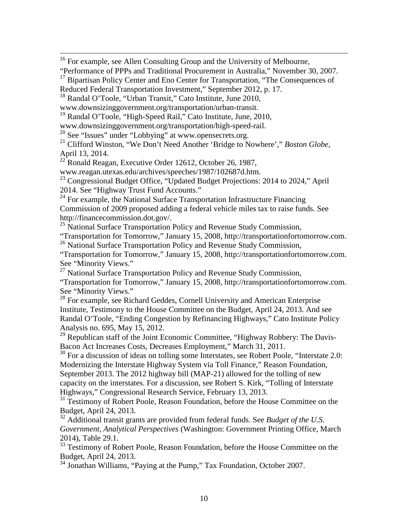$16$  For example, see Allen Consulting Group and the University of Melbourne,

Reduced Federal Transportation Investment," September 2012, p. 17.

<sup>18</sup> Randal O'Toole, "Urban Transit," Cato Institute, June 2010,

 $\overline{a}$ 

<sup>19</sup> Randal O'Toole, "High-Speed Rail," Cato Institute, June, 2010,

www.downsizinggovernment.org/transportation/high-speed-rail.

 $20$  See "Issues" under "Lobbying" at www.opensecrets.org.

<sup>21</sup> Clifford Winston, "We Don't Need Another 'Bridge to Nowhere'," *Boston Globe*, April 13, 2014.

<sup>22</sup> Ronald Reagan, Executive Order 12612, October 26, 1987,

[www.reagan.utexas.edu/archives/speeches/1987/102687d.htm.](http://www.reagan.utexas.edu/archives/speeches/1987/102687d.htm)<br><sup>[23](http://www.reagan.utexas.edu/archives/speeches/1987/102687d.htm)</sup> Congressional Budget Office, "Updated Budget Projections: 2014 to 2024," April 2014. See "Highway Trust Fund Accounts."

<span id="page-9-1"></span><span id="page-9-0"></span> $24$  For example, the National Surface Transportation Infrastructure Financing Commission of 2009 proposed adding a federal vehicle miles tax to raise funds. See http://financecommission.dot.gov/.

<span id="page-9-2"></span><sup>25</sup> National Surface Transportation Policy and Revenue Study Commission,

"Transportation for Tomorrow," January 15, 2008, http://transportationfortomorrow.com.

<span id="page-9-3"></span> $26$  National Surface Transportation Policy and Revenue Study Commission,

"Transportation for Tomorrow," January 15, 2008, [http://transportationfortomorrow.com.](http://transportationfortomorrow.com/) See "Minority Views."

<span id="page-9-5"></span><span id="page-9-4"></span><sup>27</sup> National Surface Transportation Policy and Revenue Study Commission, "Transportation for Tomorrow," January 15, 2008, [http://transportationfortomorrow.com.](http://transportationfortomorrow.com/) See "Minority Views."

<span id="page-9-6"></span><sup>28</sup> For example, see Richard Geddes, Cornell University and American Enterprise Institute, Testimony to the House Committee on the Budget, April 24, 2013. And see Randal O'Toole, "Ending Congestion by Refinancing Highways," Cato Institute Policy Analysis no. 695, May 15, 2012.

<span id="page-9-7"></span> $29$  Republican staff of the Joint Economic Committee, "Highway Robbery: The Davis-Bacon Act Increases Costs, Decreases Employment," March 31, 2011.

<span id="page-9-9"></span><span id="page-9-8"></span><sup>30</sup> For a discussion of ideas on tolling some Interstates, see Robert Poole, "Interstate 2.0: Modernizing the Interstate Highway System via Toll Finance," Reason Foundation, September 2013. The 2012 highway bill (MAP-21) allowed for the tolling of new capacity on the interstates. For a discussion, see Robert S. Kirk, "Tolling of Interstate Highways," Congressional Research Service, February 13, 2013.

<sup>31</sup> Testimony of Robert Poole, Reason Foundation, before the House Committee on the Budget, April 24, 2013.

<sup>32</sup> Additional transit grants are provided from federal funds. See *Budget of the U.S. Government, Analytical Perspectives* (Washington: Government Printing Office, March 2014), Table 29.1.

<sup>33</sup> Testimony of Robert Poole, Reason Foundation, before the House Committee on the Budget, April 24, 2013.

 $34$  Jonathan Williams, "Paying at the Pump," Tax Foundation, October 2007.

<sup>&</sup>quot;Performance of PPPs and Traditional Procurement in Australia," November 30, 2007. <sup>17</sup> Bipartisan Policy Center and Eno Center for Transportation, "The Consequences of

www.downsizinggovernment.org/transportation/urban-transit.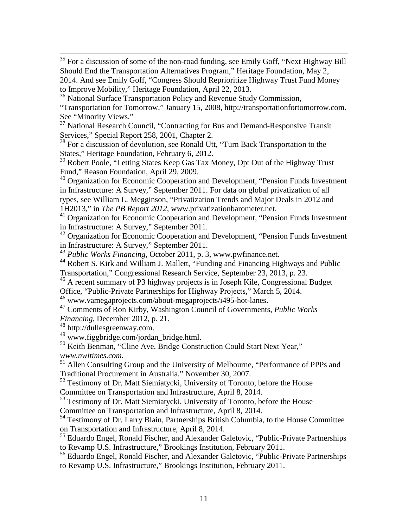<span id="page-10-4"></span> $35$  For a discussion of some of the non-road funding, see Emily Goff, "Next Highway Bill Should End the Transportation Alternatives Program," Heritage Foundation, May 2, 2014. And see Emily Goff, "Congress Should Reprioritize Highway Trust Fund Money to Improve Mobility," Heritage Foundation, April 22, 2013.

<span id="page-10-6"></span><span id="page-10-5"></span><sup>36</sup> National Surface Transportation Policy and Revenue Study Commission, "Transportation for Tomorrow," January 15, 2008, [http://transportationfortomorrow.com.](http://transportationfortomorrow.com/) See "Minority Views."

<span id="page-10-7"></span><sup>37</sup> National Research Council, "Contracting for Bus and Demand-Responsive Transit Services," Special Report 258, 2001, Chapter 2.

<span id="page-10-9"></span><span id="page-10-8"></span><sup>38</sup> For a discussion of devolution, see Ronald Utt, "Turn Back Transportation to the States," Heritage Foundation, February 6, 2012.

<sup>39</sup> Robert Poole, "Letting States Keep Gas Tax Money, Opt Out of the Highway Trust Fund," Reason Foundation, April 29, 2009.

<sup>40</sup> Organization for Economic Cooperation and Development, "Pension Funds Investment in Infrastructure: A Survey," September 2011. For data on global privatization of all types, see William L. Megginson, "Privatization Trends and Major Deals in 2012 and 1H2013," in *The PB Report 2012*, www.privatizationbarometer.net.

<sup>41</sup> Organization for Economic Cooperation and Development, "Pension Funds Investment in Infrastructure: A Survey," September 2011.

<sup>42</sup> Organization for Economic Cooperation and Development, "Pension Funds Investment in Infrastructure: A Survey," September 2011.

<sup>43</sup> *Public Works Financing*, October 2011, p. 3, www.pwfinance.net.

<sup>44</sup> Robert S. Kirk and William J. Mallett, "Funding and Financing Highways and Public Transportation," Congressional Research Service, September 23, 2013, p. 23.

<sup>45</sup> A recent summary of P3 highway projects is in Joseph Kile, Congressional Budget

Office, "Public-Private Partnerships for Highway Projects," March 5, 2014.<br><sup>46</sup> www.vamegaprojects.com/about-megaprojects/i495-hot-lanes.

<sup>47</sup> Comments of Ron Kirby, Washington Council of Governments, *Public Works Financing*, December 2012, p. 21.

<sup>48</sup> http://dullesgreenway.com.

 $\overline{a}$ 

 $^{49}$  www.figgbridge.com/jordan\_bridge.html.

<sup>50</sup> Keith Benman, "Cline Ave. Bridge Construction Could Start Next Year,"

*www.nwitimes.com.*<br><sup>51</sup> Allen Consulting Group and the University of Melbourne, "Performance of PPPs and Traditional Procurement in Australia," November 30, 2007.

<sup>52</sup> Testimony of Dr. Matt Siemiatycki, University of Toronto, before the House Committee on Transportation and Infrastructure, April 8, 2014.

<span id="page-10-0"></span><sup>53</sup> Testimony of Dr. Matt Siemiatycki, University of Toronto, before the House Committee on Transportation and Infrastructure, April 8, 2014.

<span id="page-10-1"></span><sup>54</sup> Testimony of Dr. Larry Blain, Partnerships British Columbia, to the House Committee on Transportation and Infrastructure, April 8, 2014.

<span id="page-10-2"></span><sup>55</sup> Eduardo Engel, Ronald Fischer, and Alexander Galetovic, "Public-Private Partnerships to Revamp U.S. Infrastructure," Brookings Institution, February 2011.

<span id="page-10-3"></span><sup>56</sup> Eduardo Engel, Ronald Fischer, and Alexander Galetovic, "Public-Private Partnerships to Revamp U.S. Infrastructure," Brookings Institution, February 2011.